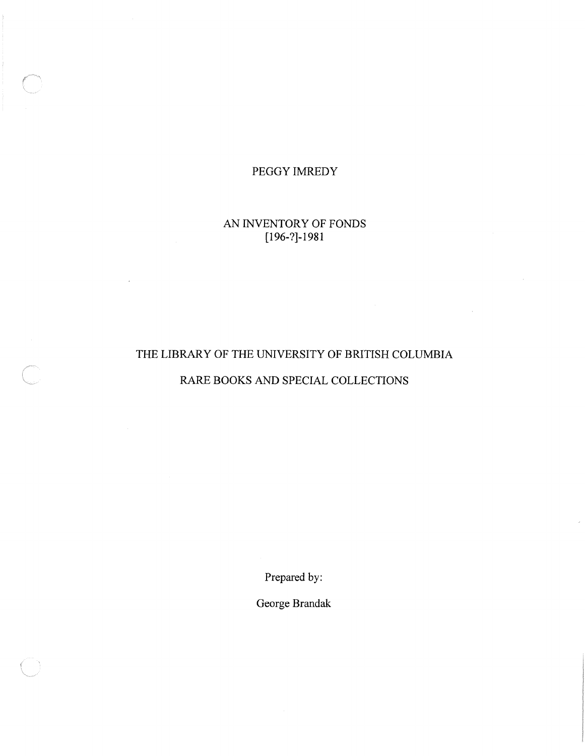### PEGGY IMREDY

### AN INVENTORY OF FONDS [196-?]-198 <sup>1</sup>

## THE LIBRARY OF THE UNIVERSITY OF BRITISH COLUMBIA

### RARE BOOKS AND SPECIAL COLLECTIONS

Prepared by:

George Brandak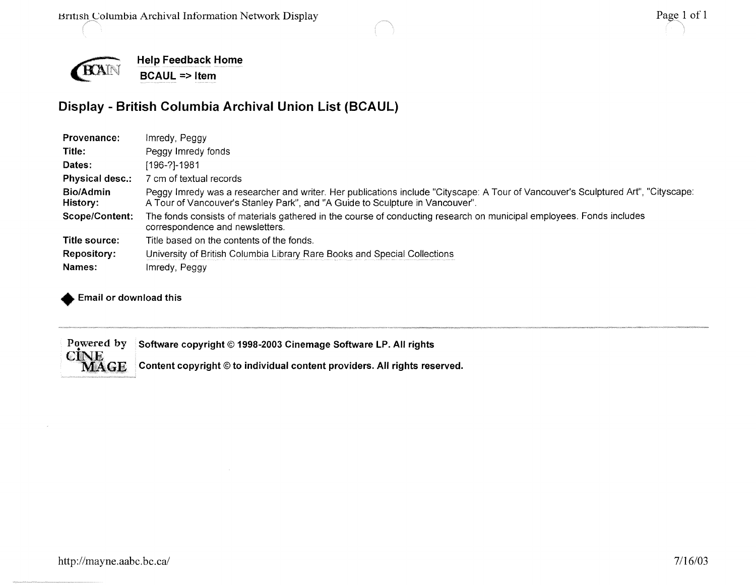



**Help Feedback Home BCAUL => Item**

## **Display - British Columbia Archival Union List (BCAUL )**

| Provenance:                  | Imredy, Peggy                                                                                                                                                                                                      |
|------------------------------|--------------------------------------------------------------------------------------------------------------------------------------------------------------------------------------------------------------------|
| Title:                       | Peggy Imredy fonds                                                                                                                                                                                                 |
| Dates:                       | [196-?]-1981                                                                                                                                                                                                       |
| <b>Physical desc.:</b>       | 7 cm of textual records                                                                                                                                                                                            |
| <b>Bio/Admin</b><br>History: | Peggy Imredy was a researcher and writer. Her publications include "Cityscape: A Tour of Vancouver's Sculptured Art", "Cityscape:<br>A Tour of Vancouver's Stanley Park", and "A Guide to Sculpture in Vancouver". |
| Scope/Content:               | The fonds consists of materials gathered in the course of conducting research on municipal employees. Fonds includes<br>correspondence and newsletters.                                                            |
| Title source:                | Title based on the contents of the fonds.                                                                                                                                                                          |
| <b>Repository:</b>           | University of British Columbia Library Rare Books and Special Collections                                                                                                                                          |
| Names:                       | Imredy, Peggy                                                                                                                                                                                                      |
|                              |                                                                                                                                                                                                                    |

**Email or download this**

Powered by<br>CINE<br>MAGE Software copyright  $@$  1998-2003 Cinemage Software LP. All rights

Content copyright © to individual content providers. All rights reserved.